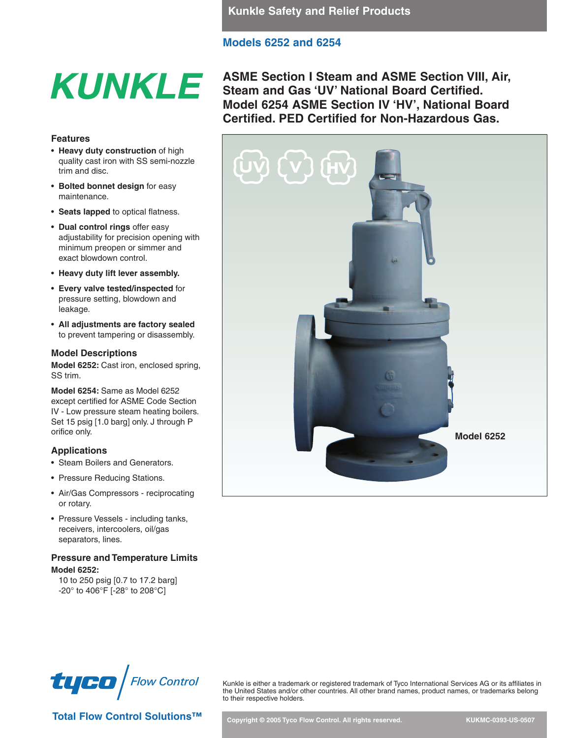# **KUNKLE**

### **Features**

- **Heavy duty construction** of high quality cast iron with SS semi-nozzle trim and disc.
- **Bolted bonnet design** for easy maintenance.
- **Seats lapped** to optical flatness.
- **Dual control rings** offer easy adjustability for precision opening with minimum preopen or simmer and exact blowdown control.
- **Heavy duty lift lever assembly.**
- **Every valve tested/inspected** for pressure setting, blowdown and leakage.
- **All adjustments are factory sealed** to prevent tampering or disassembly.

### **Model Descriptions**

**Model 6252:** Cast iron, enclosed spring, SS trim.

**Model 6254:** Same as Model 6252 except certified for ASME Code Section IV - Low pressure steam heating boilers. Set 15 psig [1.0 barg] only. J through P orifice only.

### **Applications**

- Steam Boilers and Generators.
- Pressure Reducing Stations.
- Air/Gas Compressors reciprocating or rotary.
- Pressure Vessels including tanks, receivers, intercoolers, oil/gas separators, lines.

### **Pressure and Temperature Limits Model 6252:**

10 to 250 psig [0.7 to 17.2 barg] -20° to 406°F [-28° to 208°C]

**ASME Section I Steam and ASME Section VIII, Air, Steam and Gas 'UV' National Board Certified. Model 6254 ASME Section IV 'HV', National Board Certified. PED Certified for Non-Hazardous Gas.**





**Total Flow Control Solutions<sup>™</sup> and Copyright © 2005 Tyco Flow Control. All rights reserved. KUKMC-0393-US-0507** 

Kunkle is either a trademark or registered trademark of Tyco International Services AG or its affiliates in the United States and/or other countries. All other brand names, product names, or trademarks belong to their respective holders.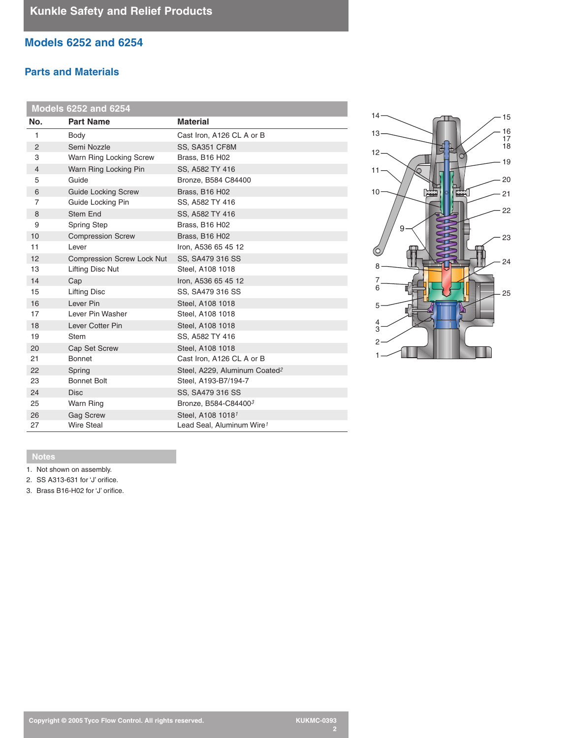### **Parts and Materials**

|                | <b>Models 6252 and 6254</b>       |                                           |
|----------------|-----------------------------------|-------------------------------------------|
| No.            | <b>Part Name</b>                  | <b>Material</b>                           |
| 1              | Body                              | Cast Iron, A126 CL A or B                 |
| $\overline{2}$ | Semi Nozzle                       | SS, SA351 CF8M                            |
| 3              | Warn Ring Locking Screw           | Brass, B16 H02                            |
| $\overline{4}$ | Warn Ring Locking Pin             | SS, A582 TY 416                           |
| 5              | Guide                             | Bronze, B584 C84400                       |
| 6              | <b>Guide Locking Screw</b>        | Brass, B16 H02                            |
| 7              | Guide Locking Pin                 | SS, A582 TY 416                           |
| 8              | Stem End                          | SS, A582 TY 416                           |
| 9              | <b>Spring Step</b>                | Brass, B16 H02                            |
| 10             | <b>Compression Screw</b>          | Brass, B16 H02                            |
| 11             | Lever                             | Iron, A536 65 45 12                       |
| 12             | <b>Compression Screw Lock Nut</b> | SS, SA479 316 SS                          |
| 13             | Lifting Disc Nut                  | Steel, A108 1018                          |
| 14             | Cap                               | Iron, A536 65 45 12                       |
| 15             | Lifting Disc                      | SS, SA479 316 SS                          |
| 16             | Lever Pin                         | Steel, A108 1018                          |
| 17             | Lever Pin Washer                  | Steel, A108 1018                          |
| 18             | Lever Cotter Pin                  | Steel, A108 1018                          |
| 19             | <b>Stem</b>                       | SS, A582 TY 416                           |
| 20             | Cap Set Screw                     | Steel, A108 1018                          |
| 21             | <b>Bonnet</b>                     | Cast Iron, A126 CL A or B                 |
| 22             | Spring                            | Steel, A229, Aluminum Coated <sup>2</sup> |
| 23             | <b>Bonnet Bolt</b>                | Steel, A193-B7/194-7                      |
| 24             | <b>Disc</b>                       | SS, SA479 316 SS                          |
| 25             | Warn Ring                         | Bronze, B584-C844003                      |
| 26             | <b>Gag Screw</b>                  | Steel, A108 1018 <sup>1</sup>             |
| 27             | <b>Wire Steal</b>                 | Lead Seal, Aluminum Wire <sup>1</sup>     |



- 1. Not shown on assembly.
- 2. SS A313-631 for 'J' orifice.
- 3. Brass B16-H02 for 'J' orifice.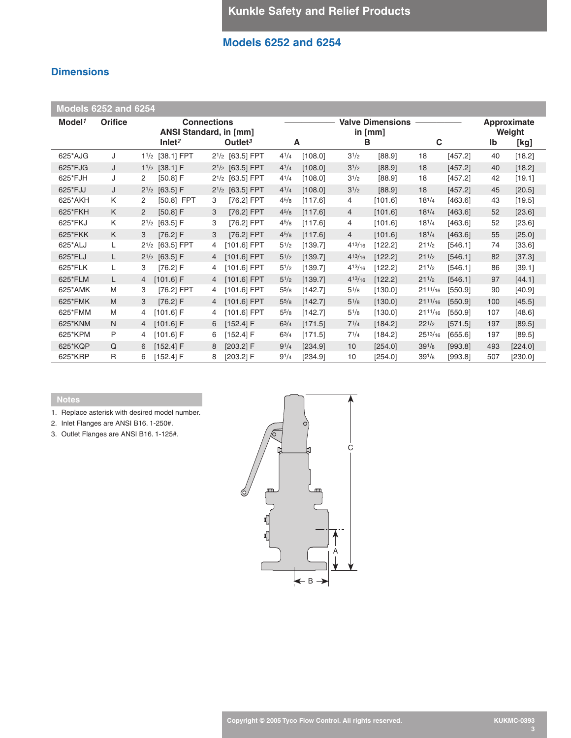# **Dimensions**

|                    | <b>Models 6252 and 6254</b> |                             |                                                            |                       |                                         |                 |         |     |                               |
|--------------------|-----------------------------|-----------------------------|------------------------------------------------------------|-----------------------|-----------------------------------------|-----------------|---------|-----|-------------------------------|
| Model <sup>1</sup> | <b>Orifice</b>              | Inlet <sup>2</sup>          | <b>Connections</b><br>ANSI Standard, in [mm]<br>Outlet $3$ | Α                     | <b>Valve Dimensions</b><br>in [mm]<br>в | C               |         | lb  | Approximate<br>Weight<br>[kg] |
| 625*AJG            | J                           | $[38.1]$ FPT<br>11/2        | $2^{1/2}$ [63.5] FPT                                       | $4^{1/4}$<br>[108.0]  | $3^{1/2}$<br>[88.9]                     | 18              | [457.2] | 40  | [18.2]                        |
| 625*FJG            | J                           | [38.1] F<br>11/2            | 2 <sup>1</sup> / <sub>2</sub> [63.5] FPT                   | [108.0]<br>$4^{1/4}$  | $3^{1/2}$<br>[88.9]                     | 18              | [457.2] | 40  | [18.2]                        |
| 625*FJH            | J                           | [50.8] F<br>2               | [63.5] FPT<br>$2^{1/2}$                                    | $4^{1/4}$<br>[108.0]  | $3^{1/2}$<br>[88.9]                     | 18              | [457.2] | 42  | [19.1]                        |
| 625*FJJ            | J                           | [63.5] F<br>$2^{1/2}$       | $[63.5]$ FPT<br>$2^{1/2}$                                  | [108.0]<br>$4^{1}/4$  | $3^{1/2}$<br>[88.9]                     | 18              | [457.2] | 45  | [20.5]                        |
| 625*AKH            | Κ                           | $[50.8]$ FPT<br>2           | $[76.2]$ FPT<br>3                                          | 45/8<br>[117.6]       | [101.6]<br>4                            | $18^{1/4}$      | [463.6] | 43  | [19.5]                        |
| 625*FKH            | K                           | [50.8] F<br>$\overline{2}$  | $[76.2]$ FPT<br>3                                          | [117.6]<br>$4^{5}/_8$ | [101.6]<br>4                            | $18^{1/4}$      | [463.6] | 52  | [23.6]                        |
| 625*FKJ            | Κ                           | [63.5] F<br>$2^{1/2}$       | 3<br>$[76.2]$ FPT                                          | 45/8<br>$[117.6]$     | 4<br>[101.6]                            | $18^{1/4}$      | [463.6] | 52  | [23.6]                        |
| 625*FKK            | K                           | [76.2] F<br>3               | $[76.2]$ FPT<br>3                                          | [117.6]<br>$4^{5}/8$  | [101.6]<br>$\overline{4}$               | $18^{1/4}$      | [463.6] | 55  | [25.0]                        |
| 625*ALJ            | L                           | $[63.5]$ FPT<br>$2^{1/2}$   | $[101.6]$ FPT<br>4                                         | $5^{1/2}$<br>[139.7]  | 413/16<br>[122.2]                       | $21^{1/2}$      | [546.1] | 74  | [33.6]                        |
| 625*FLJ            | L                           | [63.5] F<br>$2^{1/2}$       | $[101.6]$ FPT<br>4                                         | $5^{1/2}$<br>[139.7]  | $4^{13/16}$<br>[122.2]                  | $21^{1/2}$      | [546.1] | 82  | [37.3]                        |
| 625*FLK            | L                           | 3<br>[76.2] F               | $[101.6]$ FPT<br>4                                         | $5^{1/2}$<br>[139.7]  | $4^{13/16}$<br>[122.2]                  | $21^{1/2}$      | [546.1] | 86  | [39.1]                        |
| 625*FLM            | L                           | [101.6] F<br>$\overline{4}$ | $[101.6]$ FPT<br>4                                         | $5^{1/2}$<br>[139.7]  | $4^{13/16}$<br>[122.2]                  | $21^{1/2}$      | [546.1] | 97  | [44.1]                        |
| 625*AMK            | M                           | $[76.2]$ FPT<br>3           | $[101.6]$ FPT<br>4                                         | $5^{5}/8$<br>[142.7]  | $5^{1/8}$<br>[130.0]                    | $21^{11/16}$    | [550.9] | 90  | [40.9]                        |
| 625*FMK            | M                           | [76.2] F<br>3               | $[101.6]$ FPT<br>4                                         | [142.7]<br>$5^{5}/8$  | $5^{1/8}$<br>[130.0]                    | $21^{11/16}$    | [550.9] | 100 | [45.5]                        |
| 625*FMM            | M                           | [101.6] F<br>4              | [101.6] FPT<br>4                                           | $5^{5}/8$<br>[142.7]  | $5^{1/8}$<br>[130.0]                    | $21^{11/16}$    | [550.9] | 107 | [48.6]                        |
| 625*KNM            | N                           | [101.6] F<br>$\overline{4}$ | [152.4] F<br>6                                             | [171.5]<br>$6^{3/4}$  | $7^{1/4}$<br>[184.2]                    | $22^{1/2}$      | [571.5] | 197 | [89.5]                        |
| 625*KPM            | P                           | $[101.6]$ F<br>4            | 6<br>[152.4] F                                             | [171.5]<br>$6^{3/4}$  | $7^{1/4}$<br>[184.2]                    | $25^{13}/_{16}$ | [655.6] | 197 | [89.5]                        |
| 625*KQP            | Q                           | [152.4] F<br>6              | [203.2] F<br>8                                             | $9^{1/4}$<br>[234.9]  | 10<br>[254.0]                           | $39^{1/8}$      | [993.8] | 493 | [224.0]                       |
| 625*KRP            | R                           | 6<br>[152.4] F              | 8<br>[203.2] F                                             | $9^{1/4}$<br>[234.9]  | 10<br>[254.0]                           | $39^{1/8}$      | [993.8] | 507 | [230.0]                       |

- 1. Replace asterisk with desired model number.
- 2. Inlet Flanges are ANSI B16. 1-250#.
- 3. Outlet Flanges are ANSI B16. 1-125#.

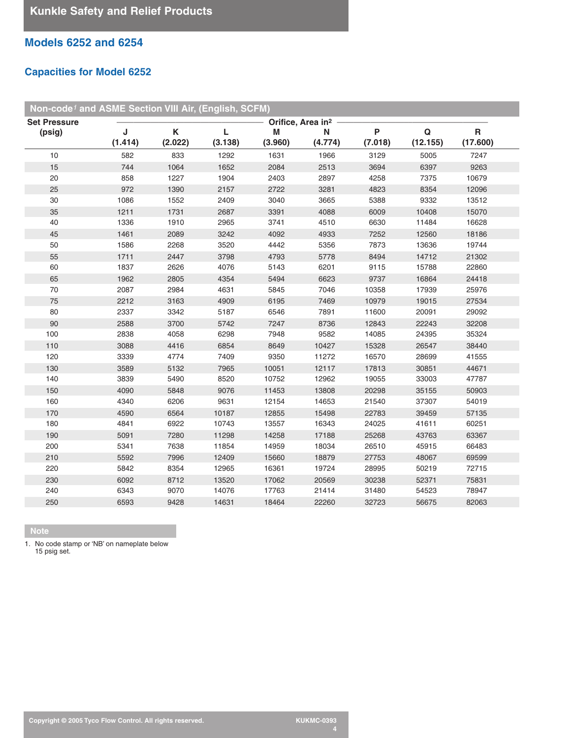### **Capacities for Model 6252**

| Non-code <sup>1</sup> and ASME Section VIII Air, (English, SCFM) |              |              |              |                               |              |              |                         |                         |
|------------------------------------------------------------------|--------------|--------------|--------------|-------------------------------|--------------|--------------|-------------------------|-------------------------|
| <b>Set Pressure</b>                                              |              |              |              | Orifice, Area in <sup>2</sup> |              |              |                         |                         |
| (psig)                                                           | J<br>(1.414) | K<br>(2.022) | L<br>(3.138) | М<br>(3.960)                  | N<br>(4.774) | P<br>(7.018) | $\mathbf Q$<br>(12.155) | $\mathsf R$<br>(17.600) |
| 10                                                               | 582          | 833          | 1292         | 1631                          | 1966         | 3129         | 5005                    | 7247                    |
| 15                                                               | 744          | 1064         | 1652         | 2084                          | 2513         | 3694         | 6397                    | 9263                    |
| 20                                                               | 858          | 1227         | 1904         | 2403                          | 2897         | 4258         | 7375                    | 10679                   |
| 25                                                               | 972          | 1390         | 2157         | 2722                          | 3281         | 4823         | 8354                    | 12096                   |
| 30                                                               | 1086         | 1552         | 2409         | 3040                          | 3665         | 5388         | 9332                    | 13512                   |
| 35                                                               | 1211         | 1731         | 2687         | 3391                          | 4088         | 6009         | 10408                   | 15070                   |
| 40                                                               | 1336         | 1910         | 2965         | 3741                          | 4510         | 6630         | 11484                   | 16628                   |
| 45                                                               | 1461         | 2089         | 3242         | 4092                          | 4933         | 7252         | 12560                   | 18186                   |
| 50                                                               | 1586         | 2268         | 3520         | 4442                          | 5356         | 7873         | 13636                   | 19744                   |
| 55                                                               | 1711         | 2447         | 3798         | 4793                          | 5778         | 8494         | 14712                   | 21302                   |
| 60                                                               | 1837         | 2626         | 4076         | 5143                          | 6201         | 9115         | 15788                   | 22860                   |
| 65                                                               | 1962         | 2805         | 4354         | 5494                          | 6623         | 9737         | 16864                   | 24418                   |
| 70                                                               | 2087         | 2984         | 4631         | 5845                          | 7046         | 10358        | 17939                   | 25976                   |
| 75                                                               | 2212         | 3163         | 4909         | 6195                          | 7469         | 10979        | 19015                   | 27534                   |
| 80                                                               | 2337         | 3342         | 5187         | 6546                          | 7891         | 11600        | 20091                   | 29092                   |
| 90                                                               | 2588         | 3700         | 5742         | 7247                          | 8736         | 12843        | 22243                   | 32208                   |
| 100                                                              | 2838         | 4058         | 6298         | 7948                          | 9582         | 14085        | 24395                   | 35324                   |
| 110                                                              | 3088         | 4416         | 6854         | 8649                          | 10427        | 15328        | 26547                   | 38440                   |
| 120                                                              | 3339         | 4774         | 7409         | 9350                          | 11272        | 16570        | 28699                   | 41555                   |
| 130                                                              | 3589         | 5132         | 7965         | 10051                         | 12117        | 17813        | 30851                   | 44671                   |
| 140                                                              | 3839         | 5490         | 8520         | 10752                         | 12962        | 19055        | 33003                   | 47787                   |
| 150                                                              | 4090         | 5848         | 9076         | 11453                         | 13808        | 20298        | 35155                   | 50903                   |
| 160                                                              | 4340         | 6206         | 9631         | 12154                         | 14653        | 21540        | 37307                   | 54019                   |
| 170                                                              | 4590         | 6564         | 10187        | 12855                         | 15498        | 22783        | 39459                   | 57135                   |
| 180                                                              | 4841         | 6922         | 10743        | 13557                         | 16343        | 24025        | 41611                   | 60251                   |
| 190                                                              | 5091         | 7280         | 11298        | 14258                         | 17188        | 25268        | 43763                   | 63367                   |
| 200                                                              | 5341         | 7638         | 11854        | 14959                         | 18034        | 26510        | 45915                   | 66483                   |
| 210                                                              | 5592         | 7996         | 12409        | 15660                         | 18879        | 27753        | 48067                   | 69599                   |
| 220                                                              | 5842         | 8354         | 12965        | 16361                         | 19724        | 28995        | 50219                   | 72715                   |
| 230                                                              | 6092         | 8712         | 13520        | 17062                         | 20569        | 30238        | 52371                   | 75831                   |
| 240                                                              | 6343         | 9070         | 14076        | 17763                         | 21414        | 31480        | 54523                   | 78947                   |
| 250                                                              | 6593         | 9428         | 14631        | 18464                         | 22260        | 32723        | 56675                   | 82063                   |

### **Note**

1. No code stamp or 'NB' on nameplate below 15 psig set.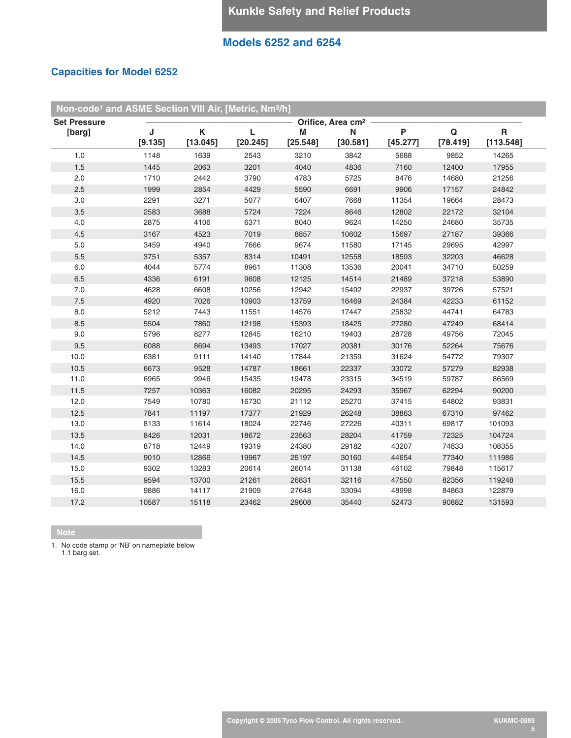### **Capacities for Model 6252**

| Non-code <sup>1</sup> and ASME Section VIII Air, [Metric, Nm <sup>3</sup> /h] |              |               |               |               |                               |               |               |                          |
|-------------------------------------------------------------------------------|--------------|---------------|---------------|---------------|-------------------------------|---------------|---------------|--------------------------|
| <b>Set Pressure</b>                                                           |              |               |               |               | Orifice, Area cm <sup>2</sup> |               |               |                          |
| [barg]                                                                        | J<br>[9.135] | K<br>[13.045] | L<br>[20.245] | M<br>[25.548] | N<br>[30.581]                 | P<br>[45.277] | Q<br>[78.419] | $\mathsf R$<br>[113.548] |
| 1.0                                                                           | 1148         | 1639          | 2543          | 3210          | 3842                          | 5688          | 9852          | 14265                    |
| 1.5                                                                           | 1445         | 2063          | 3201          | 4040          | 4836                          | 7160          | 12400         | 17955                    |
| 2.0                                                                           | 1710         | 2442          | 3790          | 4783          | 5725                          | 8476          | 14680         | 21256                    |
| 2.5                                                                           | 1999         | 2854          | 4429          | 5590          | 6691                          | 9906          | 17157         | 24842                    |
| 3.0                                                                           | 2291         | 3271          | 5077          | 6407          | 7668                          | 11354         | 19664         | 28473                    |
| 3.5                                                                           | 2583         | 3688          | 5724          | 7224          | 8646                          | 12802         | 22172         | 32104                    |
| 4.0                                                                           | 2875         | 4106          | 6371          | 8040          | 9624                          | 14250         | 24680         | 35735                    |
| 4.5                                                                           | 3167         | 4523          | 7019          | 8857          | 10602                         | 15697         | 27187         | 39366                    |
| 5.0                                                                           | 3459         | 4940          | 7666          | 9674          | 11580                         | 17145         | 29695         | 42997                    |
| 5.5                                                                           | 3751         | 5357          | 8314          | 10491         | 12558                         | 18593         | 32203         | 46628                    |
| 6.0                                                                           | 4044         | 5774          | 8961          | 11308         | 13536                         | 20041         | 34710         | 50259                    |
| 6.5                                                                           | 4336         | 6191          | 9608          | 12125         | 14514                         | 21489         | 37218         | 53890                    |
| 7.0                                                                           | 4628         | 6608          | 10256         | 12942         | 15492                         | 22937         | 39726         | 57521                    |
| 7.5                                                                           | 4920         | 7026          | 10903         | 13759         | 16469                         | 24384         | 42233         | 61152                    |
| 8.0                                                                           | 5212         | 7443          | 11551         | 14576         | 17447                         | 25832         | 44741         | 64783                    |
| 8.5                                                                           | 5504         | 7860          | 12198         | 15393         | 18425                         | 27280         | 47249         | 68414                    |
| 9.0                                                                           | 5796         | 8277          | 12845         | 16210         | 19403                         | 28728         | 49756         | 72045                    |
| 9.5                                                                           | 6088         | 8694          | 13493         | 17027         | 20381                         | 30176         | 52264         | 75676                    |
| 10.0                                                                          | 6381         | 9111          | 14140         | 17844         | 21359                         | 31624         | 54772         | 79307                    |
| 10.5                                                                          | 6673         | 9528          | 14787         | 18661         | 22337                         | 33072         | 57279         | 82938                    |
| 11.0                                                                          | 6965         | 9946          | 15435         | 19478         | 23315                         | 34519         | 59787         | 86569                    |
| 11.5                                                                          | 7257         | 10363         | 16082         | 20295         | 24293                         | 35967         | 62294         | 90200                    |
| 12.0                                                                          | 7549         | 10780         | 16730         | 21112         | 25270                         | 37415         | 64802         | 93831                    |
| 12.5                                                                          | 7841         | 11197         | 17377         | 21929         | 26248                         | 38863         | 67310         | 97462                    |
| 13.0                                                                          | 8133         | 11614         | 18024         | 22746         | 27226                         | 40311         | 69817         | 101093                   |
| 13.5                                                                          | 8426         | 12031         | 18672         | 23563         | 28204                         | 41759         | 72325         | 104724                   |
| 14.0                                                                          | 8718         | 12449         | 19319         | 24380         | 29182                         | 43207         | 74833         | 108355                   |
| 14.5                                                                          | 9010         | 12866         | 19967         | 25197         | 30160                         | 44654         | 77340         | 111986                   |
| 15.0                                                                          | 9302         | 13283         | 20614         | 26014         | 31138                         | 46102         | 79848         | 115617                   |
| 15.5                                                                          | 9594         | 13700         | 21261         | 26831         | 32116                         | 47550         | 82356         | 119248                   |
| 16.0                                                                          | 9886         | 14117         | 21909         | 27648         | 33094                         | 48998         | 84863         | 122879                   |
| 17.2                                                                          | 10587        | 15118         | 23462         | 29608         | 35440                         | 52473         | 90882         | 131593                   |

1. No code stamp or 'NB' on nameplate below 1.1 barg set.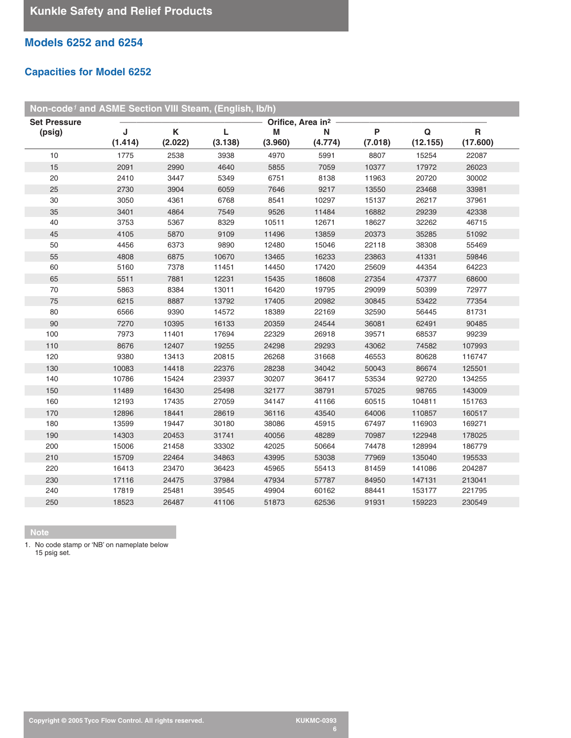### **Capacities for Model 6252**

| Non-code <sup>1</sup> and ASME Section VIII Steam, (English, Ib/h) |         |         |         |                               |         |         |             |             |
|--------------------------------------------------------------------|---------|---------|---------|-------------------------------|---------|---------|-------------|-------------|
| <b>Set Pressure</b>                                                |         |         |         | Orifice, Area in <sup>2</sup> |         |         |             |             |
| (psig)                                                             | J       | K       | L       | М                             | N       | P       | $\mathbf Q$ | $\mathsf R$ |
|                                                                    | (1.414) | (2.022) | (3.138) | (3.960)                       | (4.774) | (7.018) | (12.155)    | (17.600)    |
| 10                                                                 | 1775    | 2538    | 3938    | 4970                          | 5991    | 8807    | 15254       | 22087       |
| 15                                                                 | 2091    | 2990    | 4640    | 5855                          | 7059    | 10377   | 17972       | 26023       |
| 20                                                                 | 2410    | 3447    | 5349    | 6751                          | 8138    | 11963   | 20720       | 30002       |
| 25                                                                 | 2730    | 3904    | 6059    | 7646                          | 9217    | 13550   | 23468       | 33981       |
| 30                                                                 | 3050    | 4361    | 6768    | 8541                          | 10297   | 15137   | 26217       | 37961       |
| 35                                                                 | 3401    | 4864    | 7549    | 9526                          | 11484   | 16882   | 29239       | 42338       |
| 40                                                                 | 3753    | 5367    | 8329    | 10511                         | 12671   | 18627   | 32262       | 46715       |
| 45                                                                 | 4105    | 5870    | 9109    | 11496                         | 13859   | 20373   | 35285       | 51092       |
| 50                                                                 | 4456    | 6373    | 9890    | 12480                         | 15046   | 22118   | 38308       | 55469       |
| 55                                                                 | 4808    | 6875    | 10670   | 13465                         | 16233   | 23863   | 41331       | 59846       |
| 60                                                                 | 5160    | 7378    | 11451   | 14450                         | 17420   | 25609   | 44354       | 64223       |
| 65                                                                 | 5511    | 7881    | 12231   | 15435                         | 18608   | 27354   | 47377       | 68600       |
| 70                                                                 | 5863    | 8384    | 13011   | 16420                         | 19795   | 29099   | 50399       | 72977       |
| 75                                                                 | 6215    | 8887    | 13792   | 17405                         | 20982   | 30845   | 53422       | 77354       |
| 80                                                                 | 6566    | 9390    | 14572   | 18389                         | 22169   | 32590   | 56445       | 81731       |
| 90                                                                 | 7270    | 10395   | 16133   | 20359                         | 24544   | 36081   | 62491       | 90485       |
| 100                                                                | 7973    | 11401   | 17694   | 22329                         | 26918   | 39571   | 68537       | 99239       |
| 110                                                                | 8676    | 12407   | 19255   | 24298                         | 29293   | 43062   | 74582       | 107993      |
| 120                                                                | 9380    | 13413   | 20815   | 26268                         | 31668   | 46553   | 80628       | 116747      |
| 130                                                                | 10083   | 14418   | 22376   | 28238                         | 34042   | 50043   | 86674       | 125501      |
| 140                                                                | 10786   | 15424   | 23937   | 30207                         | 36417   | 53534   | 92720       | 134255      |
| 150                                                                | 11489   | 16430   | 25498   | 32177                         | 38791   | 57025   | 98765       | 143009      |
| 160                                                                | 12193   | 17435   | 27059   | 34147                         | 41166   | 60515   | 104811      | 151763      |
| 170                                                                | 12896   | 18441   | 28619   | 36116                         | 43540   | 64006   | 110857      | 160517      |
| 180                                                                | 13599   | 19447   | 30180   | 38086                         | 45915   | 67497   | 116903      | 169271      |
| 190                                                                | 14303   | 20453   | 31741   | 40056                         | 48289   | 70987   | 122948      | 178025      |
| 200                                                                | 15006   | 21458   | 33302   | 42025                         | 50664   | 74478   | 128994      | 186779      |
| 210                                                                | 15709   | 22464   | 34863   | 43995                         | 53038   | 77969   | 135040      | 195533      |
| 220                                                                | 16413   | 23470   | 36423   | 45965                         | 55413   | 81459   | 141086      | 204287      |
| 230                                                                | 17116   | 24475   | 37984   | 47934                         | 57787   | 84950   | 147131      | 213041      |
| 240                                                                | 17819   | 25481   | 39545   | 49904                         | 60162   | 88441   | 153177      | 221795      |
| 250                                                                | 18523   | 26487   | 41106   | 51873                         | 62536   | 91931   | 159223      | 230549      |

### **Note**

1. No code stamp or 'NB' on nameplate below 15 psig set.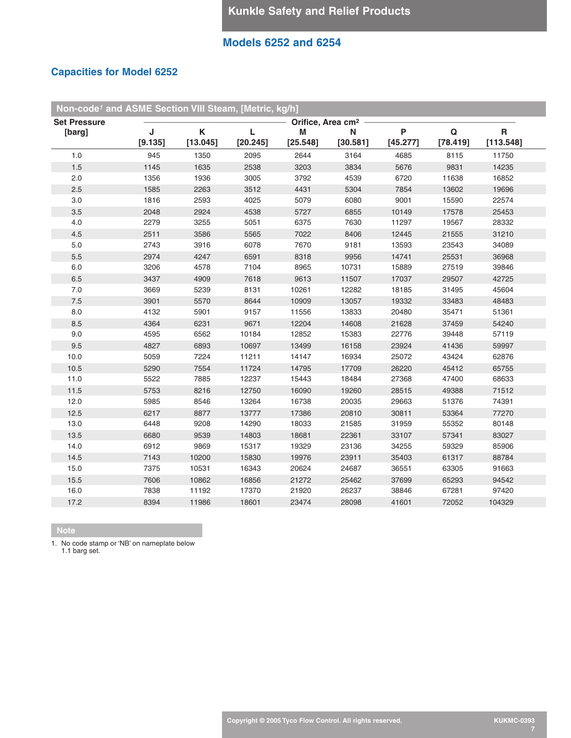### **Capacities for Model 6252**

| Non-code <sup>1</sup> and ASME Section VIII Steam, [Metric, kg/h] |         |          |          |                               |          |          |          |             |
|-------------------------------------------------------------------|---------|----------|----------|-------------------------------|----------|----------|----------|-------------|
| <b>Set Pressure</b>                                               |         |          |          | Orifice, Area cm <sup>2</sup> |          |          |          |             |
| [barg]                                                            | J       | K        | L        | M                             | N        | P        | Q        | $\mathsf R$ |
|                                                                   | [9.135] | [13.045] | [20.245] | [25.548]                      | [30.581] | [45.277] | [78.419] | [113.548]   |
| 1.0                                                               | 945     | 1350     | 2095     | 2644                          | 3164     | 4685     | 8115     | 11750       |
| 1.5                                                               | 1145    | 1635     | 2538     | 3203                          | 3834     | 5676     | 9831     | 14235       |
| 2.0                                                               | 1356    | 1936     | 3005     | 3792                          | 4539     | 6720     | 11638    | 16852       |
| 2.5                                                               | 1585    | 2263     | 3512     | 4431                          | 5304     | 7854     | 13602    | 19696       |
| 3.0                                                               | 1816    | 2593     | 4025     | 5079                          | 6080     | 9001     | 15590    | 22574       |
| 3.5                                                               | 2048    | 2924     | 4538     | 5727                          | 6855     | 10149    | 17578    | 25453       |
| 4.0                                                               | 2279    | 3255     | 5051     | 6375                          | 7630     | 11297    | 19567    | 28332       |
| 4.5                                                               | 2511    | 3586     | 5565     | 7022                          | 8406     | 12445    | 21555    | 31210       |
| 5.0                                                               | 2743    | 3916     | 6078     | 7670                          | 9181     | 13593    | 23543    | 34089       |
| 5.5                                                               | 2974    | 4247     | 6591     | 8318                          | 9956     | 14741    | 25531    | 36968       |
| 6.0                                                               | 3206    | 4578     | 7104     | 8965                          | 10731    | 15889    | 27519    | 39846       |
| 6.5                                                               | 3437    | 4909     | 7618     | 9613                          | 11507    | 17037    | 29507    | 42725       |
| $7.0\,$                                                           | 3669    | 5239     | 8131     | 10261                         | 12282    | 18185    | 31495    | 45604       |
| 7.5                                                               | 3901    | 5570     | 8644     | 10909                         | 13057    | 19332    | 33483    | 48483       |
| 8.0                                                               | 4132    | 5901     | 9157     | 11556                         | 13833    | 20480    | 35471    | 51361       |
| 8.5                                                               | 4364    | 6231     | 9671     | 12204                         | 14608    | 21628    | 37459    | 54240       |
| 9.0                                                               | 4595    | 6562     | 10184    | 12852                         | 15383    | 22776    | 39448    | 57119       |
| 9.5                                                               | 4827    | 6893     | 10697    | 13499                         | 16158    | 23924    | 41436    | 59997       |
| 10.0                                                              | 5059    | 7224     | 11211    | 14147                         | 16934    | 25072    | 43424    | 62876       |
| 10.5                                                              | 5290    | 7554     | 11724    | 14795                         | 17709    | 26220    | 45412    | 65755       |
| 11.0                                                              | 5522    | 7885     | 12237    | 15443                         | 18484    | 27368    | 47400    | 68633       |
| 11.5                                                              | 5753    | 8216     | 12750    | 16090                         | 19260    | 28515    | 49388    | 71512       |
| 12.0                                                              | 5985    | 8546     | 13264    | 16738                         | 20035    | 29663    | 51376    | 74391       |
| 12.5                                                              | 6217    | 8877     | 13777    | 17386                         | 20810    | 30811    | 53364    | 77270       |
| 13.0                                                              | 6448    | 9208     | 14290    | 18033                         | 21585    | 31959    | 55352    | 80148       |
| 13.5                                                              | 6680    | 9539     | 14803    | 18681                         | 22361    | 33107    | 57341    | 83027       |
| 14.0                                                              | 6912    | 9869     | 15317    | 19329                         | 23136    | 34255    | 59329    | 85906       |
| 14.5                                                              | 7143    | 10200    | 15830    | 19976                         | 23911    | 35403    | 61317    | 88784       |
| 15.0                                                              | 7375    | 10531    | 16343    | 20624                         | 24687    | 36551    | 63305    | 91663       |
| 15.5                                                              | 7606    | 10862    | 16856    | 21272                         | 25462    | 37699    | 65293    | 94542       |
| 16.0                                                              | 7838    | 11192    | 17370    | 21920                         | 26237    | 38846    | 67281    | 97420       |
| 17.2                                                              | 8394    | 11986    | 18601    | 23474                         | 28098    | 41601    | 72052    | 104329      |

1. No code stamp or 'NB' on nameplate below 1.1 barg set.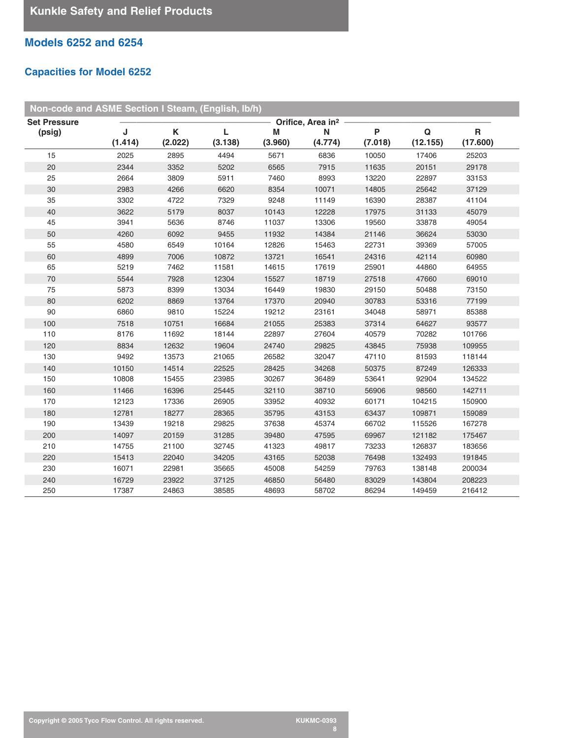# **Capacities for Model 6252**

| Non-code and ASME Section I Steam, (English, Ib/h) |
|----------------------------------------------------|
|----------------------------------------------------|

| <b>Set Pressure</b> |         |         |         |         | Orifice, Area in <sup>2</sup> |         |             |          |
|---------------------|---------|---------|---------|---------|-------------------------------|---------|-------------|----------|
| (psig)              | J       | K       | L       | M       | N                             | P       | $\mathbf Q$ | R        |
|                     | (1.414) | (2.022) | (3.138) | (3.960) | (4.774)                       | (7.018) | (12.155)    | (17.600) |
| 15                  | 2025    | 2895    | 4494    | 5671    | 6836                          | 10050   | 17406       | 25203    |
| 20                  | 2344    | 3352    | 5202    | 6565    | 7915                          | 11635   | 20151       | 29178    |
| 25                  | 2664    | 3809    | 5911    | 7460    | 8993                          | 13220   | 22897       | 33153    |
| 30                  | 2983    | 4266    | 6620    | 8354    | 10071                         | 14805   | 25642       | 37129    |
| 35                  | 3302    | 4722    | 7329    | 9248    | 11149                         | 16390   | 28387       | 41104    |
| 40                  | 3622    | 5179    | 8037    | 10143   | 12228                         | 17975   | 31133       | 45079    |
| 45                  | 3941    | 5636    | 8746    | 11037   | 13306                         | 19560   | 33878       | 49054    |
| 50                  | 4260    | 6092    | 9455    | 11932   | 14384                         | 21146   | 36624       | 53030    |
| 55                  | 4580    | 6549    | 10164   | 12826   | 15463                         | 22731   | 39369       | 57005    |
| 60                  | 4899    | 7006    | 10872   | 13721   | 16541                         | 24316   | 42114       | 60980    |
| 65                  | 5219    | 7462    | 11581   | 14615   | 17619                         | 25901   | 44860       | 64955    |
| 70                  | 5544    | 7928    | 12304   | 15527   | 18719                         | 27518   | 47660       | 69010    |
| 75                  | 5873    | 8399    | 13034   | 16449   | 19830                         | 29150   | 50488       | 73150    |
| 80                  | 6202    | 8869    | 13764   | 17370   | 20940                         | 30783   | 53316       | 77199    |
| 90                  | 6860    | 9810    | 15224   | 19212   | 23161                         | 34048   | 58971       | 85388    |
| 100                 | 7518    | 10751   | 16684   | 21055   | 25383                         | 37314   | 64627       | 93577    |
| 110                 | 8176    | 11692   | 18144   | 22897   | 27604                         | 40579   | 70282       | 101766   |
| 120                 | 8834    | 12632   | 19604   | 24740   | 29825                         | 43845   | 75938       | 109955   |
| 130                 | 9492    | 13573   | 21065   | 26582   | 32047                         | 47110   | 81593       | 118144   |
| 140                 | 10150   | 14514   | 22525   | 28425   | 34268                         | 50375   | 87249       | 126333   |
| 150                 | 10808   | 15455   | 23985   | 30267   | 36489                         | 53641   | 92904       | 134522   |
| 160                 | 11466   | 16396   | 25445   | 32110   | 38710                         | 56906   | 98560       | 142711   |
| 170                 | 12123   | 17336   | 26905   | 33952   | 40932                         | 60171   | 104215      | 150900   |
| 180                 | 12781   | 18277   | 28365   | 35795   | 43153                         | 63437   | 109871      | 159089   |
| 190                 | 13439   | 19218   | 29825   | 37638   | 45374                         | 66702   | 115526      | 167278   |
| 200                 | 14097   | 20159   | 31285   | 39480   | 47595                         | 69967   | 121182      | 175467   |
| 210                 | 14755   | 21100   | 32745   | 41323   | 49817                         | 73233   | 126837      | 183656   |
| 220                 | 15413   | 22040   | 34205   | 43165   | 52038                         | 76498   | 132493      | 191845   |
| 230                 | 16071   | 22981   | 35665   | 45008   | 54259                         | 79763   | 138148      | 200034   |
| 240                 | 16729   | 23922   | 37125   | 46850   | 56480                         | 83029   | 143804      | 208223   |
| 250                 | 17387   | 24863   | 38585   | 48693   | 58702                         | 86294   | 149459      | 216412   |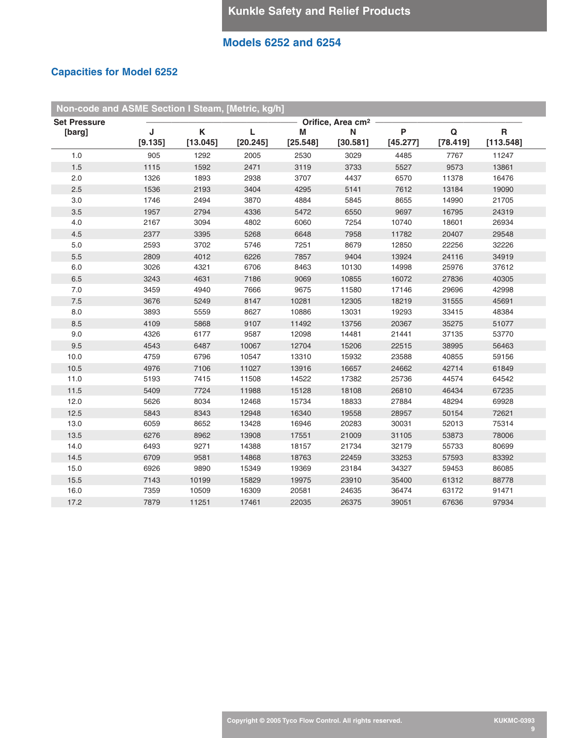# **Capacities for Model 6252**

| <b>Set Pressure</b> |              |               |               |               | Orifice, Area cm <sup>2</sup> |               |               |                          |
|---------------------|--------------|---------------|---------------|---------------|-------------------------------|---------------|---------------|--------------------------|
| [barg]              | J<br>[9.135] | K<br>[13.045] | L<br>[20.245] | M<br>[25.548] | N<br>[30.581]                 | P<br>[45.277] | Q<br>[78.419] | $\mathsf R$<br>[113.548] |
| 1.0                 | 905          | 1292          | 2005          | 2530          | 3029                          | 4485          | 7767          | 11247                    |
| 1.5                 | 1115         | 1592          | 2471          | 3119          | 3733                          | 5527          | 9573          | 13861                    |
| 2.0                 | 1326         | 1893          | 2938          | 3707          | 4437                          | 6570          | 11378         | 16476                    |
| 2.5                 | 1536         | 2193          | 3404          | 4295          | 5141                          | 7612          | 13184         | 19090                    |
| 3.0                 | 1746         | 2494          | 3870          | 4884          | 5845                          | 8655          | 14990         | 21705                    |
| 3.5                 | 1957         | 2794          | 4336          | 5472          | 6550                          | 9697          | 16795         | 24319                    |
| 4.0                 | 2167         | 3094          | 4802          | 6060          | 7254                          | 10740         | 18601         | 26934                    |
| 4.5                 | 2377         | 3395          | 5268          | 6648          | 7958                          | 11782         | 20407         | 29548                    |
| 5.0                 | 2593         | 3702          | 5746          | 7251          | 8679                          | 12850         | 22256         | 32226                    |
| 5.5                 | 2809         | 4012          | 6226          | 7857          | 9404                          | 13924         | 24116         | 34919                    |
| 6.0                 | 3026         | 4321          | 6706          | 8463          | 10130                         | 14998         | 25976         | 37612                    |
| 6.5                 | 3243         | 4631          | 7186          | 9069          | 10855                         | 16072         | 27836         | 40305                    |
| 7.0                 | 3459         | 4940          | 7666          | 9675          | 11580                         | 17146         | 29696         | 42998                    |
| 7.5                 | 3676         | 5249          | 8147          | 10281         | 12305                         | 18219         | 31555         | 45691                    |
| 8.0                 | 3893         | 5559          | 8627          | 10886         | 13031                         | 19293         | 33415         | 48384                    |
| 8.5                 | 4109         | 5868          | 9107          | 11492         | 13756                         | 20367         | 35275         | 51077                    |
| 9.0                 | 4326         | 6177          | 9587          | 12098         | 14481                         | 21441         | 37135         | 53770                    |
| 9.5                 | 4543         | 6487          | 10067         | 12704         | 15206                         | 22515         | 38995         | 56463                    |
| 10.0                | 4759         | 6796          | 10547         | 13310         | 15932                         | 23588         | 40855         | 59156                    |
| 10.5                | 4976         | 7106          | 11027         | 13916         | 16657                         | 24662         | 42714         | 61849                    |
| 11.0                | 5193         | 7415          | 11508         | 14522         | 17382                         | 25736         | 44574         | 64542                    |
| 11.5                | 5409         | 7724          | 11988         | 15128         | 18108                         | 26810         | 46434         | 67235                    |
| 12.0                | 5626         | 8034          | 12468         | 15734         | 18833                         | 27884         | 48294         | 69928                    |
| 12.5                | 5843         | 8343          | 12948         | 16340         | 19558                         | 28957         | 50154         | 72621                    |
| 13.0                | 6059         | 8652          | 13428         | 16946         | 20283                         | 30031         | 52013         | 75314                    |
| 13.5                | 6276         | 8962          | 13908         | 17551         | 21009                         | 31105         | 53873         | 78006                    |
| 14.0                | 6493         | 9271          | 14388         | 18157         | 21734                         | 32179         | 55733         | 80699                    |
| 14.5                | 6709         | 9581          | 14868         | 18763         | 22459                         | 33253         | 57593         | 83392                    |
| 15.0                | 6926         | 9890          | 15349         | 19369         | 23184                         | 34327         | 59453         | 86085                    |
| 15.5                | 7143         | 10199         | 15829         | 19975         | 23910                         | 35400         | 61312         | 88778                    |
| 16.0                | 7359         | 10509         | 16309         | 20581         | 24635                         | 36474         | 63172         | 91471                    |
| 17.2                | 7879         | 11251         | 17461         | 22035         | 26375                         | 39051         | 67636         | 97934                    |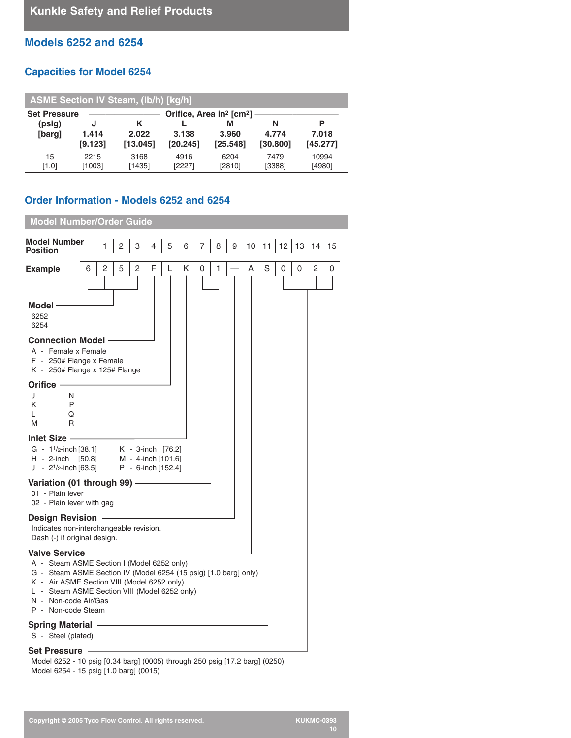### **Capacities for Model 6254**

|                     |         | <b>ASME Section IV Steam, (Ib/h) [kg/h]</b> |          |                                                  |          |          |
|---------------------|---------|---------------------------------------------|----------|--------------------------------------------------|----------|----------|
| <b>Set Pressure</b> |         |                                             |          | Orifice, Area in <sup>2</sup> [cm <sup>2</sup> ] |          |          |
| (psig)              | J       | Κ                                           |          | М                                                | N        | Р        |
| [barq]              | 1.414   | 2.022                                       | 3.138    | 3.960                                            | 4.774    | 7.018    |
|                     | [9.123] | [13.045]                                    | [20.245] | [25.548]                                         | [30.800] | [45.277] |
| 15                  | 2215    | 3168                                        | 4916     | 6204                                             | 7479     | 10994    |
| [1.0]               | [1003]  | [1435]                                      | [2227]   | [2810]                                           | [3388]   | [4980]   |

### **Order Information - Models 6252 and 6254**

| <b>Model Number/Order Guide</b>                                                                                                                                                                                                                                                                                   |
|-------------------------------------------------------------------------------------------------------------------------------------------------------------------------------------------------------------------------------------------------------------------------------------------------------------------|
| <b>Model Number</b><br>1<br>2<br>3<br>4<br>5<br>6<br>7<br>8<br>9<br>10<br>11<br>12 <sup>2</sup><br>13<br>14<br>15<br><b>Position</b>                                                                                                                                                                              |
| F<br>S<br>$\overline{2}$<br>5<br>2<br>L<br>K<br>0<br>A<br>0<br>0<br>2<br>6<br>1<br>0<br><b>Example</b>                                                                                                                                                                                                            |
| Model-<br>6252<br>6254                                                                                                                                                                                                                                                                                            |
| <b>Connection Model -</b><br>A - Female x Female<br>F - 250# Flange x Female<br>K - 250# Flange x 125# Flange                                                                                                                                                                                                     |
| Orifice<br>J<br>N<br>P<br>K<br>L<br>Q<br>R<br>м                                                                                                                                                                                                                                                                   |
| Inlet Size -<br>G - 1 <sup>1</sup> /2-inch [38.1] K - 3-inch [76.2]<br>H - 2-inch [50.8] M - 4-inch [101.6]<br>$J - 2^{1/2}$ -inch [63.5] P - 6-inch [152.4]                                                                                                                                                      |
| Variation (01 through 99) -<br>01 - Plain lever<br>02 - Plain lever with gag                                                                                                                                                                                                                                      |
| <b>Design Revision</b><br>Indicates non-interchangeable revision.<br>Dash (-) if original design.                                                                                                                                                                                                                 |
| Valve Service - Marian Marian Marian Marian Maria<br>A - Steam ASME Section I (Model 6252 only)<br>G - Steam ASME Section IV (Model 6254 (15 psig) [1.0 barg] only)<br>K - Air ASME Section VIII (Model 6252 only)<br>L - Steam ASME Section VIII (Model 6252 only)<br>N - Non-code Air/Gas<br>P - Non-code Steam |
| <b>Spring Material</b>                                                                                                                                                                                                                                                                                            |

# S - Steel (plated)

### **Set Pressure**

Model 6252 - 10 psig [0.34 barg] (0005) through 250 psig [17.2 barg] (0250) Model 6254 - 15 psig [1.0 barg] (0015)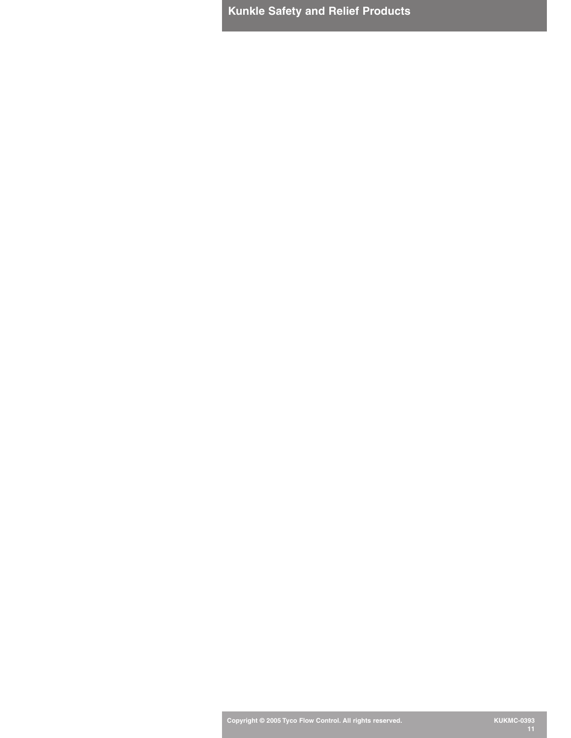**Kunkle Safety and Relief Products**